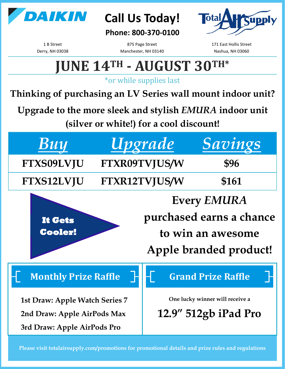

## **Call Us Today!**

### **Phone: 800-370-0100**



1 B Street Derry, NH 03038

875 Page Street Manchester, NH 03140 171 East Hollis Street Nashua, NH 03060

# **JUNE 14TH - AUGUST 30TH\***

\*or while supplies last

**Thinking of purchasing an LV Series wall mount indoor unit?** 

**Upgrade to the more sleek and stylish** *EMURA* **indoor unit** 

**(silver or white!) for a cool discount!**

| $\boldsymbol{B}$ uy                                                                                                        | Upgrade              | Savings                                                                              |
|----------------------------------------------------------------------------------------------------------------------------|----------------------|--------------------------------------------------------------------------------------|
| FTXS09LVJU                                                                                                                 | FTXR09TVJUS/W        | \$96                                                                                 |
| FTXS12LVJU                                                                                                                 | <b>FTXR12TVJUS/W</b> | \$161                                                                                |
| <b>Every EMURA</b><br>purchased earns a chance<br>It Gets<br><b>Cooler!</b><br>to win an awesome<br>Apple branded product! |                      |                                                                                      |
| <b>Monthly Prize Raffle</b><br><b>1st Draw: Apple Watch Series 7</b><br>2nd Draw: Apple AirPods Max                        |                      | <b>Grand Prize Raffle</b><br>One lucky winner will receive a<br>12.9" 512gb iPad Pro |

**Please visit totalairsupply.com/promotions for promotional details and prize rules and regulations**